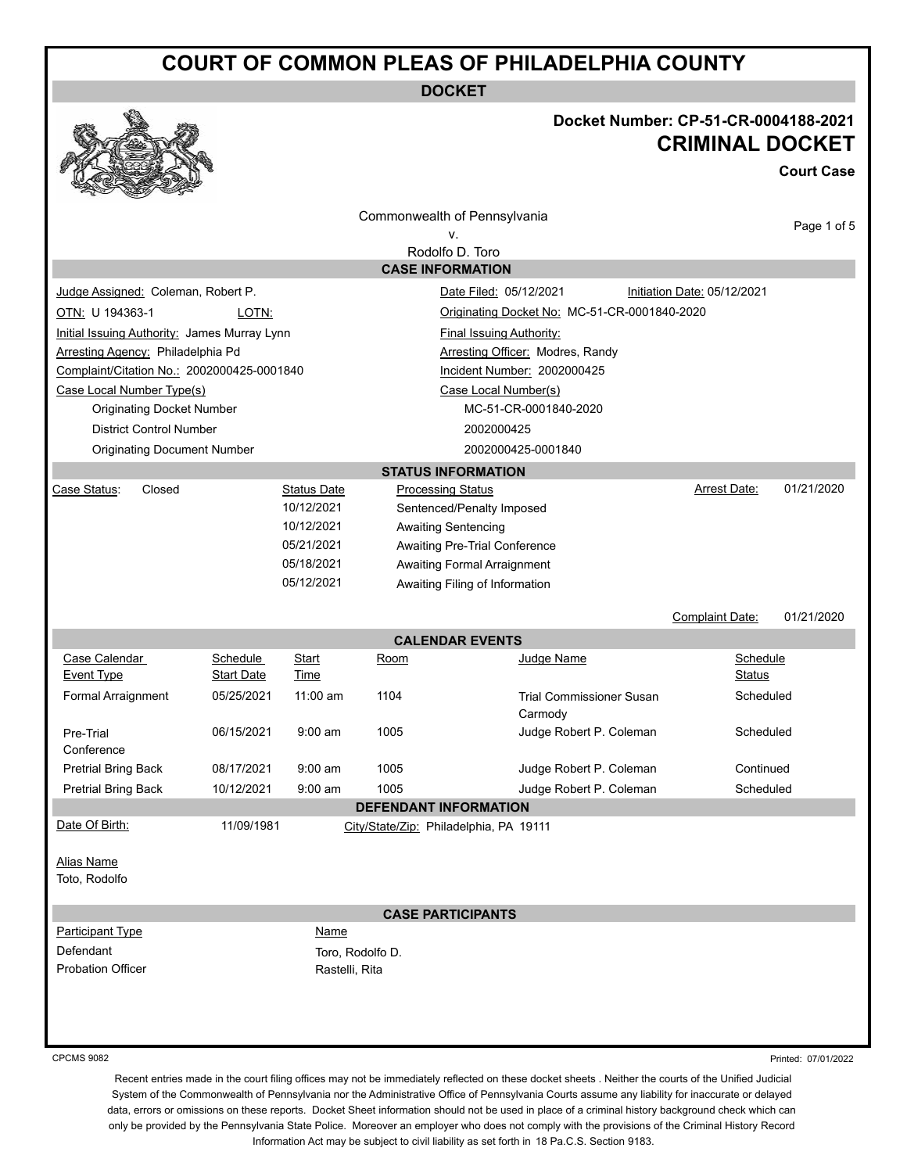**DOCKET**

### **Docket Number: CP-51-CR-0004188-2021 CRIMINAL DOCKET**

**Court Case**

|                                                                                             |                   |                    |                              | Commonwealth of Pennsylvania                 |                        |             |  |
|---------------------------------------------------------------------------------------------|-------------------|--------------------|------------------------------|----------------------------------------------|------------------------|-------------|--|
| ν.                                                                                          |                   |                    |                              |                                              |                        | Page 1 of 5 |  |
| Rodolfo D. Toro                                                                             |                   |                    |                              |                                              |                        |             |  |
| <b>CASE INFORMATION</b>                                                                     |                   |                    |                              |                                              |                        |             |  |
| Judge Assigned: Coleman, Robert P.<br>Date Filed: 05/12/2021<br>Initiation Date: 05/12/2021 |                   |                    |                              |                                              |                        |             |  |
| OTN: U 194363-1                                                                             | LOTN:             |                    |                              | Originating Docket No: MC-51-CR-0001840-2020 |                        |             |  |
| Initial Issuing Authority: James Murray Lynn<br><b>Final Issuing Authority:</b>             |                   |                    |                              |                                              |                        |             |  |
| Arresting Agency: Philadelphia Pd                                                           |                   |                    |                              | <b>Arresting Officer: Modres, Randy</b>      |                        |             |  |
| Complaint/Citation No.: 2002000425-0001840                                                  |                   |                    |                              | Incident Number: 2002000425                  |                        |             |  |
| Case Local Number Type(s)<br>Case Local Number(s)                                           |                   |                    |                              |                                              |                        |             |  |
| <b>Originating Docket Number</b>                                                            |                   |                    |                              | MC-51-CR-0001840-2020                        |                        |             |  |
| <b>District Control Number</b>                                                              |                   |                    |                              | 2002000425                                   |                        |             |  |
| <b>Originating Document Number</b>                                                          |                   |                    |                              | 2002000425-0001840                           |                        |             |  |
|                                                                                             |                   |                    |                              | <b>STATUS INFORMATION</b>                    |                        |             |  |
| Case Status:<br>Closed                                                                      |                   | <b>Status Date</b> | <b>Processing Status</b>     |                                              | Arrest Date:           | 01/21/2020  |  |
|                                                                                             |                   | 10/12/2021         |                              | Sentenced/Penalty Imposed                    |                        |             |  |
|                                                                                             |                   | 10/12/2021         | <b>Awaiting Sentencing</b>   |                                              |                        |             |  |
|                                                                                             |                   | 05/21/2021         |                              | Awaiting Pre-Trial Conference                |                        |             |  |
| 05/18/2021<br><b>Awaiting Formal Arraignment</b>                                            |                   |                    |                              |                                              |                        |             |  |
|                                                                                             |                   | 05/12/2021         |                              | Awaiting Filing of Information               |                        |             |  |
|                                                                                             |                   |                    |                              |                                              | <b>Complaint Date:</b> | 01/21/2020  |  |
|                                                                                             |                   |                    |                              |                                              |                        |             |  |
| Case Calendar                                                                               | Schedule          | Start              | Room                         | <b>CALENDAR EVENTS</b><br>Judge Name         |                        | Schedule    |  |
| Event Type                                                                                  | <b>Start Date</b> | Time               |                              |                                              |                        | Status      |  |
| Formal Arraignment                                                                          | 05/25/2021        | $11:00$ am         | 1104                         | <b>Trial Commissioner Susan</b>              |                        | Scheduled   |  |
|                                                                                             |                   |                    |                              | Carmody                                      |                        |             |  |
| Pre-Trial                                                                                   | 06/15/2021        | $9:00$ am          | 1005                         | Judge Robert P. Coleman                      |                        | Scheduled   |  |
| Conference                                                                                  |                   |                    |                              |                                              |                        |             |  |
| Pretrial Bring Back                                                                         | 08/17/2021        | $9:00$ am          | 1005                         | Judge Robert P. Coleman                      |                        | Continued   |  |
| <b>Pretrial Bring Back</b>                                                                  | 10/12/2021        | $9:00$ am          | 1005                         | Judge Robert P. Coleman                      |                        | Scheduled   |  |
|                                                                                             |                   |                    | <b>DEFENDANT INFORMATION</b> |                                              |                        |             |  |
| Date Of Birth:                                                                              | 11/09/1981        |                    |                              | City/State/Zip: Philadelphia, PA 19111       |                        |             |  |
|                                                                                             |                   |                    |                              |                                              |                        |             |  |
| <b>Alias Name</b>                                                                           |                   |                    |                              |                                              |                        |             |  |
| Toto, Rodolfo                                                                               |                   |                    |                              |                                              |                        |             |  |
| <b>CASE PARTICIPANTS</b>                                                                    |                   |                    |                              |                                              |                        |             |  |
| <b>Participant Type</b>                                                                     |                   | Name               |                              |                                              |                        |             |  |
| Defendant                                                                                   |                   |                    | Toro, Rodolfo D.             |                                              |                        |             |  |
| Probation Officer                                                                           |                   | Rastelli, Rita     |                              |                                              |                        |             |  |
|                                                                                             |                   |                    |                              |                                              |                        |             |  |
|                                                                                             |                   |                    |                              |                                              |                        |             |  |
|                                                                                             |                   |                    |                              |                                              |                        |             |  |
|                                                                                             |                   |                    |                              |                                              |                        |             |  |

CPCMS 9082

Printed: 07/01/2022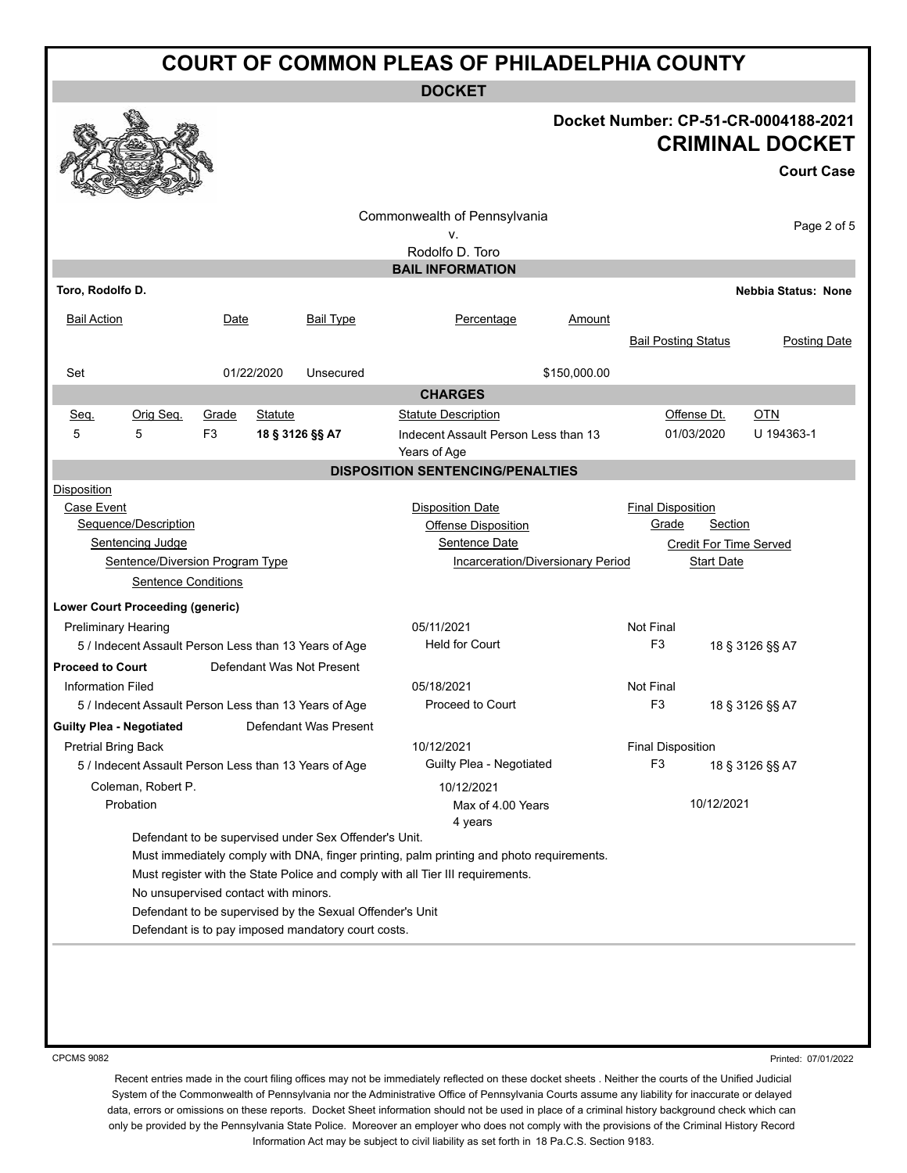**DOCKET**

#### **Docket Number: CP-51-CR-0004188-2021 CRIMINAL DOCKET**

**Court Case**

| Toro, Rodolfo D.<br><b>Bail Action</b><br>Date<br>Set<br>Orig Seq.<br>Grade<br>Seq.<br>5<br>5<br>F <sub>3</sub> | <b>Bail Type</b><br>01/22/2020<br>Unsecured              | v.<br>Rodolfo D. Toro<br><b>BAIL INFORMATION</b><br>Percentage                           | Amount<br><b>Bail Posting Status</b> | Page 2 of 5<br>Nebbia Status: None |  |  |
|-----------------------------------------------------------------------------------------------------------------|----------------------------------------------------------|------------------------------------------------------------------------------------------|--------------------------------------|------------------------------------|--|--|
|                                                                                                                 |                                                          |                                                                                          |                                      |                                    |  |  |
|                                                                                                                 |                                                          |                                                                                          |                                      |                                    |  |  |
|                                                                                                                 |                                                          |                                                                                          |                                      |                                    |  |  |
|                                                                                                                 |                                                          |                                                                                          |                                      |                                    |  |  |
|                                                                                                                 |                                                          |                                                                                          |                                      |                                    |  |  |
|                                                                                                                 |                                                          |                                                                                          |                                      | <b>Posting Date</b>                |  |  |
|                                                                                                                 |                                                          |                                                                                          |                                      |                                    |  |  |
|                                                                                                                 |                                                          |                                                                                          | \$150,000.00                         |                                    |  |  |
|                                                                                                                 |                                                          | <b>CHARGES</b>                                                                           |                                      |                                    |  |  |
|                                                                                                                 | Statute                                                  | <b>Statute Description</b>                                                               |                                      | <b>OTN</b><br>Offense Dt.          |  |  |
|                                                                                                                 | 18 § 3126 §§ A7                                          | Indecent Assault Person Less than 13<br>Years of Age                                     |                                      | U 194363-1<br>01/03/2020           |  |  |
|                                                                                                                 |                                                          | <b>DISPOSITION SENTENCING/PENALTIES</b>                                                  |                                      |                                    |  |  |
| <b>Disposition</b>                                                                                              |                                                          |                                                                                          |                                      |                                    |  |  |
| Case Event                                                                                                      |                                                          | <b>Disposition Date</b>                                                                  | <b>Final Disposition</b>             |                                    |  |  |
| Sequence/Description                                                                                            |                                                          | <b>Offense Disposition</b>                                                               | Grade                                | <b>Section</b>                     |  |  |
| <b>Sentencing Judge</b>                                                                                         |                                                          | Sentence Date                                                                            |                                      | <b>Credit For Time Served</b>      |  |  |
| Sentence/Diversion Program Type                                                                                 |                                                          | Incarceration/Diversionary Period                                                        |                                      | <b>Start Date</b>                  |  |  |
| <b>Sentence Conditions</b>                                                                                      |                                                          |                                                                                          |                                      |                                    |  |  |
| <b>Lower Court Proceeding (generic)</b>                                                                         |                                                          |                                                                                          |                                      |                                    |  |  |
| <b>Preliminary Hearing</b>                                                                                      |                                                          | 05/11/2021                                                                               | Not Final                            |                                    |  |  |
| 5 / Indecent Assault Person Less than 13 Years of Age                                                           |                                                          | <b>Held for Court</b>                                                                    | F <sub>3</sub>                       | 18 § 3126 §§ A7                    |  |  |
| Defendant Was Not Present<br><b>Proceed to Court</b>                                                            |                                                          |                                                                                          |                                      |                                    |  |  |
| <b>Information Filed</b>                                                                                        |                                                          | 05/18/2021                                                                               | Not Final                            |                                    |  |  |
| 5 / Indecent Assault Person Less than 13 Years of Age                                                           |                                                          | Proceed to Court                                                                         | F <sub>3</sub>                       | 18 § 3126 §§ A7                    |  |  |
| Defendant Was Present<br><b>Guilty Plea - Negotiated</b>                                                        |                                                          |                                                                                          |                                      |                                    |  |  |
| <b>Pretrial Bring Back</b>                                                                                      |                                                          | 10/12/2021                                                                               | <b>Final Disposition</b>             |                                    |  |  |
| 5 / Indecent Assault Person Less than 13 Years of Age                                                           |                                                          | Guilty Plea - Negotiated                                                                 | F <sub>3</sub>                       | 18 § 3126 §§ A7                    |  |  |
| Coleman, Robert P.                                                                                              |                                                          | 10/12/2021                                                                               |                                      |                                    |  |  |
| Probation                                                                                                       |                                                          | Max of 4.00 Years<br>4 years                                                             |                                      | 10/12/2021                         |  |  |
|                                                                                                                 | Defendant to be supervised under Sex Offender's Unit.    |                                                                                          |                                      |                                    |  |  |
|                                                                                                                 |                                                          | Must immediately comply with DNA, finger printing, palm printing and photo requirements. |                                      |                                    |  |  |
|                                                                                                                 |                                                          | Must register with the State Police and comply with all Tier III requirements.           |                                      |                                    |  |  |
| No unsupervised contact with minors.                                                                            |                                                          |                                                                                          |                                      |                                    |  |  |
|                                                                                                                 | Defendant to be supervised by the Sexual Offender's Unit |                                                                                          |                                      |                                    |  |  |
|                                                                                                                 | Defendant is to pay imposed mandatory court costs.       |                                                                                          |                                      |                                    |  |  |

CPCMS 9082

Printed: 07/01/2022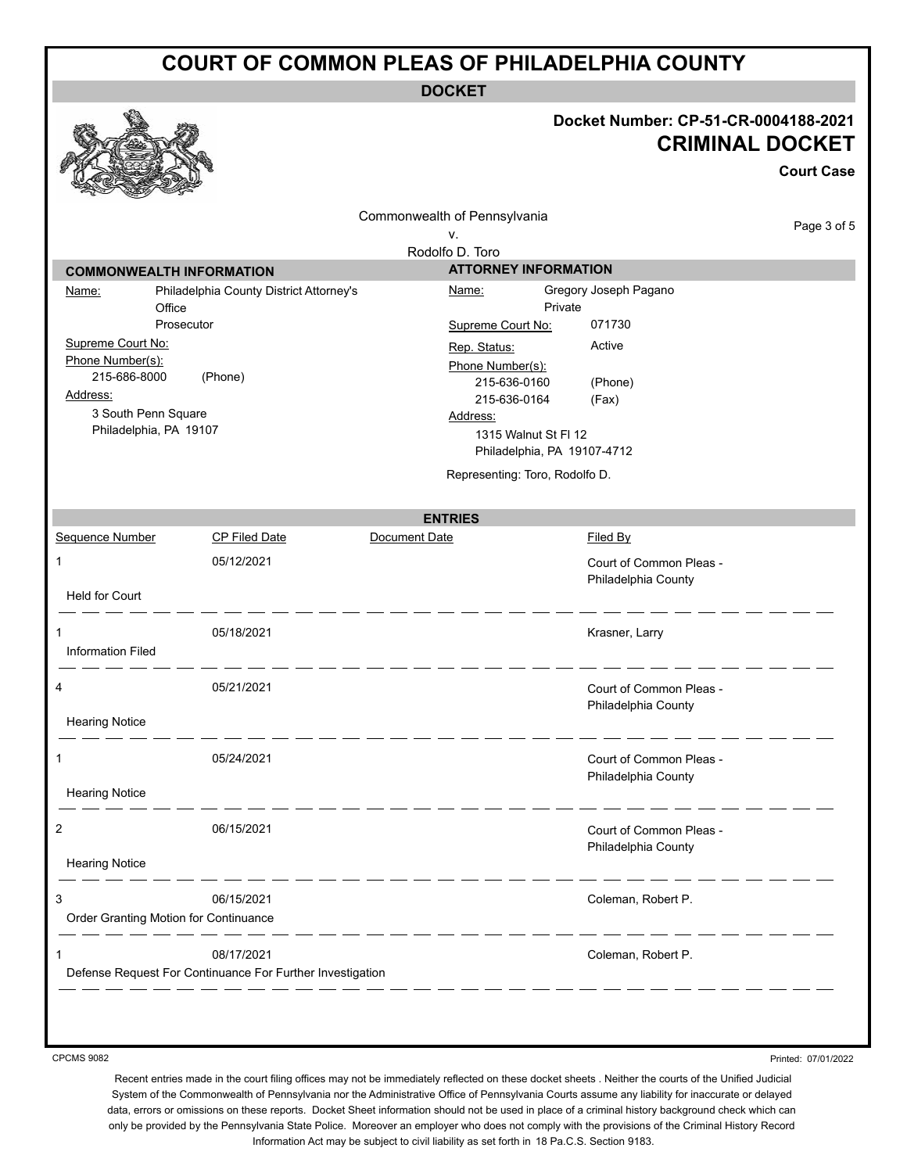**DOCKET**

# **Docket Number: CP-51-CR-0004188-2021**

|                                               |                                                           |                                | Docket Number: CP-51-CR-0004188-2021<br><b>CRIMINAL DOCKET</b> |                   |  |
|-----------------------------------------------|-----------------------------------------------------------|--------------------------------|----------------------------------------------------------------|-------------------|--|
|                                               |                                                           |                                |                                                                | <b>Court Case</b> |  |
|                                               |                                                           | Commonwealth of Pennsylvania   |                                                                |                   |  |
|                                               |                                                           | ۷.                             |                                                                | Page 3 of 5       |  |
|                                               |                                                           | Rodolfo D. Toro                |                                                                |                   |  |
| <b>COMMONWEALTH INFORMATION</b>               |                                                           | <b>ATTORNEY INFORMATION</b>    |                                                                |                   |  |
| Name:<br>Office                               | Philadelphia County District Attorney's                   | <u>Name:</u>                   | Gregory Joseph Pagano<br>Private                               |                   |  |
| Prosecutor                                    |                                                           | Supreme Court No:              | 071730                                                         |                   |  |
| Supreme Court No:                             |                                                           | Rep. Status:                   | Active                                                         |                   |  |
| Phone Number(s):                              |                                                           | Phone Number(s):               |                                                                |                   |  |
| 215-686-8000                                  | (Phone)                                                   | 215-636-0160                   | (Phone)                                                        |                   |  |
| Address:                                      |                                                           | 215-636-0164                   | (Fax)                                                          |                   |  |
| 3 South Penn Square<br>Philadelphia, PA 19107 |                                                           | Address:                       |                                                                |                   |  |
|                                               |                                                           | 1315 Walnut St Fl 12           | Philadelphia, PA 19107-4712                                    |                   |  |
|                                               |                                                           |                                |                                                                |                   |  |
|                                               |                                                           | Representing: Toro, Rodolfo D. |                                                                |                   |  |
|                                               |                                                           | <b>ENTRIES</b>                 |                                                                |                   |  |
| Sequence Number                               | CP Filed Date                                             | Document Date                  | <b>Filed By</b>                                                |                   |  |
| 1                                             | 05/12/2021                                                |                                | Court of Common Pleas -<br>Philadelphia County                 |                   |  |
| <b>Held for Court</b>                         |                                                           |                                |                                                                |                   |  |
|                                               | 05/18/2021                                                |                                | Krasner, Larry                                                 |                   |  |
| <b>Information Filed</b>                      |                                                           |                                |                                                                |                   |  |
| 4                                             | 05/21/2021                                                |                                | Court of Common Pleas -                                        |                   |  |
|                                               |                                                           |                                | Philadelphia County                                            |                   |  |
| <b>Hearing Notice</b>                         |                                                           |                                |                                                                |                   |  |
| 1                                             | 05/24/2021                                                |                                | Court of Common Pleas -                                        |                   |  |
|                                               |                                                           |                                | Philadelphia County                                            |                   |  |
| <b>Hearing Notice</b>                         |                                                           |                                |                                                                |                   |  |
| 2                                             | 06/15/2021                                                |                                | Court of Common Pleas -                                        |                   |  |
| <b>Hearing Notice</b>                         |                                                           |                                | Philadelphia County                                            |                   |  |
| 3                                             | 06/15/2021                                                |                                | Coleman, Robert P.                                             |                   |  |
| Order Granting Motion for Continuance         |                                                           |                                |                                                                |                   |  |
|                                               | 08/17/2021                                                |                                | Coleman, Robert P.                                             |                   |  |
|                                               | Defense Request For Continuance For Further Investigation |                                |                                                                |                   |  |
|                                               |                                                           |                                |                                                                |                   |  |

CPCMS 9082

Printed: 07/01/2022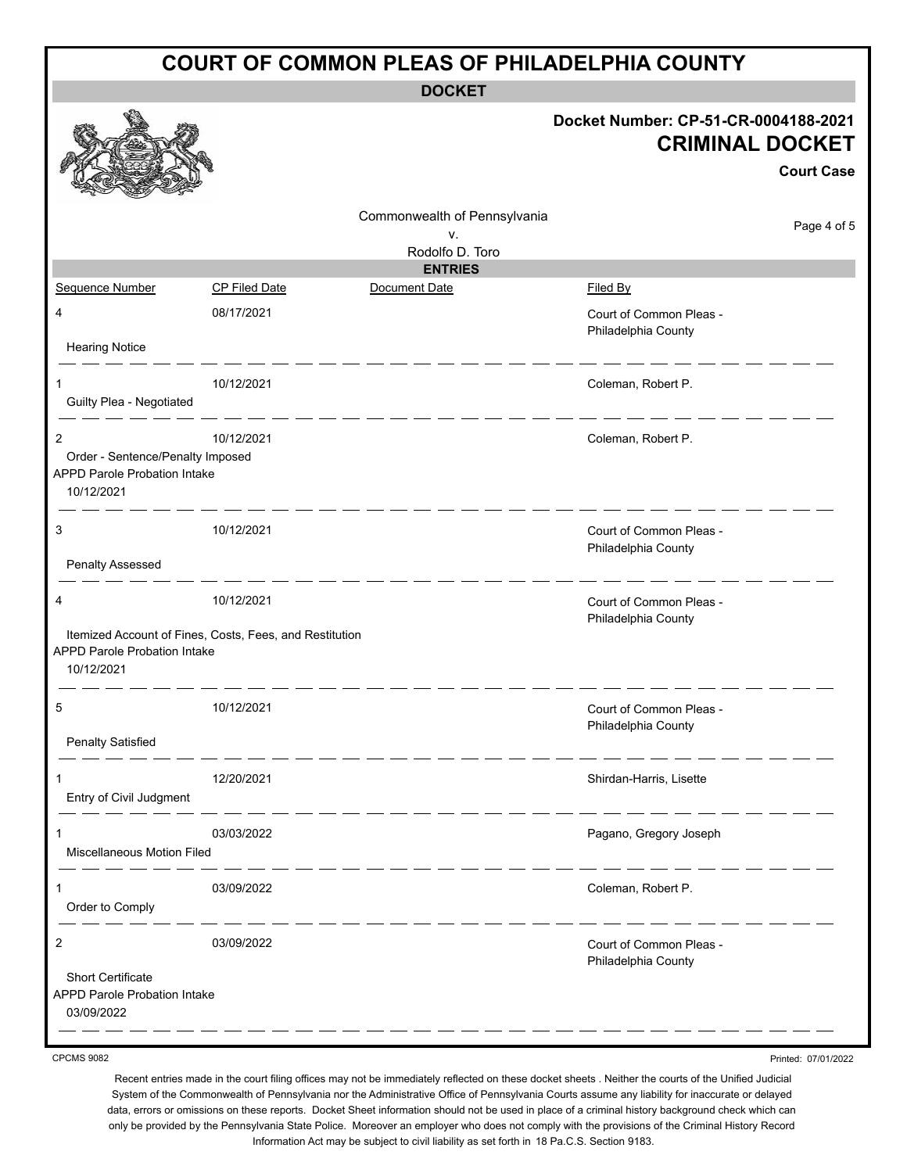| <b>COURT OF COMMON PLEAS OF PHILADELPHIA COUNTY</b>                                                     |                                                         |                              |                                                                                     |  |  |
|---------------------------------------------------------------------------------------------------------|---------------------------------------------------------|------------------------------|-------------------------------------------------------------------------------------|--|--|
| <b>DOCKET</b>                                                                                           |                                                         |                              |                                                                                     |  |  |
|                                                                                                         |                                                         |                              | Docket Number: CP-51-CR-0004188-2021<br><b>CRIMINAL DOCKET</b><br><b>Court Case</b> |  |  |
|                                                                                                         |                                                         | Commonwealth of Pennsylvania | Page 4 of 5                                                                         |  |  |
|                                                                                                         |                                                         | v.<br>Rodolfo D. Toro        |                                                                                     |  |  |
|                                                                                                         |                                                         | <b>ENTRIES</b>               |                                                                                     |  |  |
| Sequence Number                                                                                         | <b>CP Filed Date</b>                                    | Document Date                | Filed By                                                                            |  |  |
| 4                                                                                                       | 08/17/2021                                              |                              | Court of Common Pleas -<br>Philadelphia County                                      |  |  |
| <b>Hearing Notice</b>                                                                                   |                                                         |                              |                                                                                     |  |  |
| 1<br>Guilty Plea - Negotiated                                                                           | 10/12/2021                                              |                              | Coleman, Robert P.                                                                  |  |  |
| $\overline{c}$<br>Order - Sentence/Penalty Imposed<br><b>APPD Parole Probation Intake</b><br>10/12/2021 | 10/12/2021                                              |                              | Coleman, Robert P.                                                                  |  |  |
| 3<br><b>Penalty Assessed</b>                                                                            | 10/12/2021                                              |                              | Court of Common Pleas -<br>Philadelphia County                                      |  |  |
| 4                                                                                                       | 10/12/2021                                              |                              | Court of Common Pleas -<br>Philadelphia County                                      |  |  |
| <b>APPD Parole Probation Intake</b><br>10/12/2021                                                       | Itemized Account of Fines, Costs, Fees, and Restitution |                              |                                                                                     |  |  |
| <b>Penalty Satisfied</b>                                                                                | 10/12/2021                                              |                              | Court of Common Pleas -<br>Philadelphia County                                      |  |  |
|                                                                                                         |                                                         |                              |                                                                                     |  |  |
| Entry of Civil Judgment                                                                                 | 12/20/2021                                              |                              | Shirdan-Harris, Lisette                                                             |  |  |
| 1<br>Miscellaneous Motion Filed                                                                         | 03/03/2022                                              |                              | Pagano, Gregory Joseph                                                              |  |  |
| 1<br>Order to Comply                                                                                    | 03/09/2022                                              |                              | Coleman, Robert P.                                                                  |  |  |
| $\overline{c}$                                                                                          | 03/09/2022                                              |                              | Court of Common Pleas -<br>Philadelphia County                                      |  |  |
| <b>Short Certificate</b><br><b>APPD Parole Probation Intake</b><br>03/09/2022                           |                                                         |                              |                                                                                     |  |  |

CPCMS 9082

Recent entries made in the court filing offices may not be immediately reflected on these docket sheets . Neither the courts of the Unified Judicial System of the Commonwealth of Pennsylvania nor the Administrative Office of Pennsylvania Courts assume any liability for inaccurate or delayed data, errors or omissions on these reports. Docket Sheet information should not be used in place of a criminal history background check which can only be provided by the Pennsylvania State Police. Moreover an employer who does not comply with the provisions of the Criminal History Record Information Act may be subject to civil liability as set forth in 18 Pa.C.S. Section 9183.

Printed: 07/01/2022